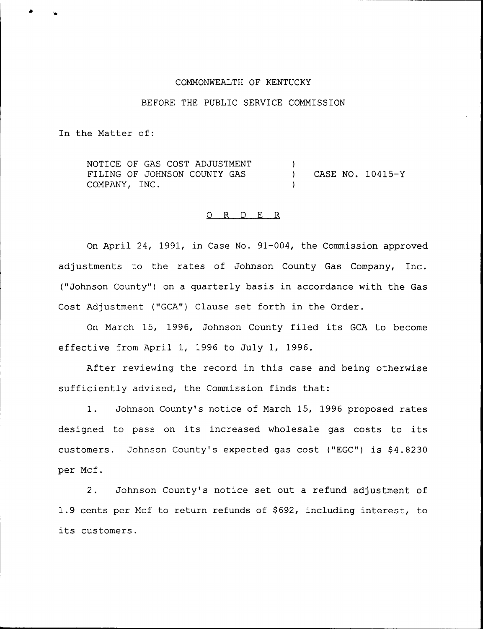### COMMONWEALTH OF KENTUCKY

## BEFORE THE PUBLIC SERVICE COMMISSION

In the Matter of:

NOTICE OF GAS COST ADJUSTMENT FILING OF JOHNSON COUNTY GAS COMPANY, INC. ) ) CASE NO. 10415-Y )

#### O R D E R

On April 24, 1991, in Case No. 91-004, the Commission approved adjustments to the rates of Johnson County Gas Company, Inc. ("Johnson County" ) on a quarterly basis in accordance with the Gas Cost Adjustment ("GCA") Clause set forth in the Order.

On March 15, 1996, Johnson County filed its GCA to become effective from April 1, 1996 to July 1, 1996.

After reviewing the record in this case and being otherwise sufficiently advised, the Commission finds that:

1. Johnson County's notice of March 15, 1996 proposed rates designed to pass on its increased wholesale gas costs to its customers. Johnson County's expected gas cost ("EGC") is \$4.8230 per Mcf.

2. Johnson County's notice set out a refund adjustment of 1.9 cents per Mcf to return refunds of \$692, including interest, to its customers.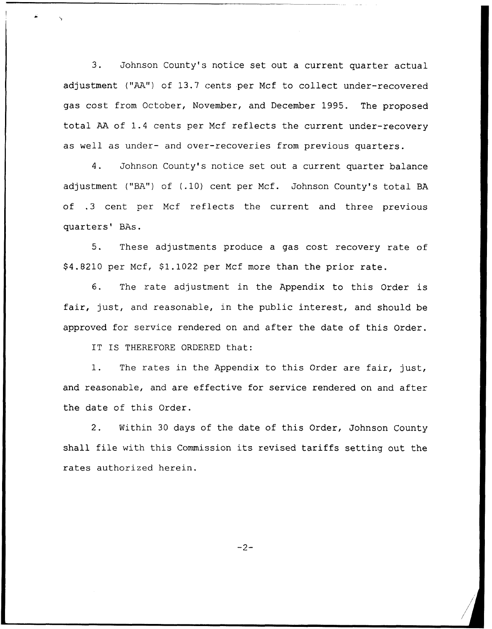$3.$ Johnson County's notice set out a current quarter actual adjustment ("AA") of 13.7 cents per Mcf to collect under-recovered gas cost from October, November, and December 1995. The proposed total AA of 1.4 cents per Mcf reflects the current under-recovery as well as under- and over-recoveries from previous quarters.

Johnson County's notice set out a current quarter balance 4. adjustment ("BA") of (.10) cent per Mcf. Johnson County's total BA of .3 cent per Mcf reflects the current and three previous quarters' BAs.

5. These adjustments produce a gas cost recovery rate of \$4.8210 per Mcf, \$1.1022 per Mcf more than the prior rate.

6. The rate adjustment in the Appendix to this Order is fair, just, and reasonable, in the public interest, and should be approved for service rendered on and after the date of this Order.

IT IS THEREFORE ORDERED that:

1. The rates in the Appendix to this Order are fair, just, and reasonable, and are effective for service rendered on and after the date of this Order.

2. Within 30 days of the date of this Order, Johnson County shall file with this Commission its revised tariffs setting out the rates authorized herein.

 $-2-$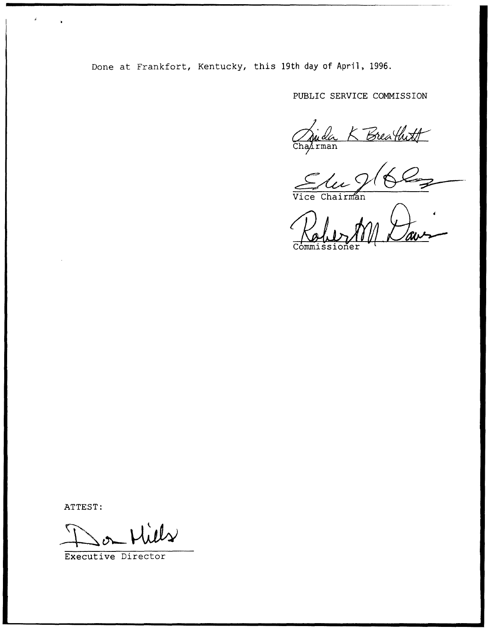Done at Frankfort, Kentucky, this 19th day of April, 1996.

PUBLIC SERVICE COMMISSION

An de  $B$ reathoff

 $\bar{\bm{\mathsf{V}}}$ ice C

Commissio

ATTEST:

Executive Director